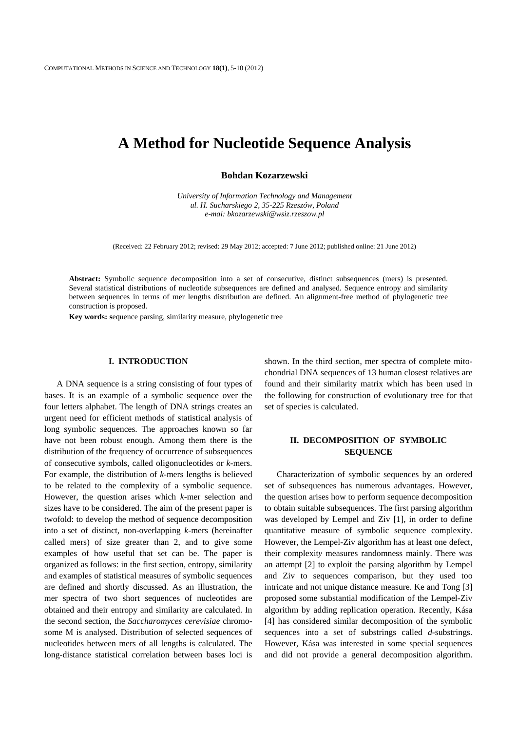# **A Method for Nucleotide Sequence Analysis**

**Bohdan Kozarzewski** 

*University of Information Technology and Management ul. H. Sucharskiego 2, 35-225 Rzeszów, Poland e-mai: bkozarzewski@wsiz.rzeszow.pl* 

(Received: 22 February 2012; revised: 29 May 2012; accepted: 7 June 2012; published online: 21 June 2012)

**Abstract:** Symbolic sequence decomposition into a set of consecutive, distinct subsequences (mers) is presented. Several statistical distributions of nucleotide subsequences are defined and analysed. Sequence entropy and similarity between sequences in terms of mer lengths distribution are defined. An alignment-free method of phylogenetic tree construction is proposed.

**Key words: s**equence parsing, similarity measure, phylogenetic tree

### **I. INTRODUCTION**

A DNA sequence is a string consisting of four types of bases. It is an example of a symbolic sequence over the four letters alphabet. The length of DNA strings creates an urgent need for efficient methods of statistical analysis of long symbolic sequences. The approaches known so far have not been robust enough. Among them there is the distribution of the frequency of occurrence of subsequences of consecutive symbols, called oligonucleotides or *k*-mers. For example, the distribution of *k*-mers lengths is believed to be related to the complexity of a symbolic sequence. However, the question arises which *k*-mer selection and sizes have to be considered. The aim of the present paper is twofold: to develop the method of sequence decomposition into a set of distinct, non-overlapping *k*-mers (hereinafter called mers) of size greater than 2, and to give some examples of how useful that set can be. The paper is organized as follows: in the first section, entropy, similarity and examples of statistical measures of symbolic sequences are defined and shortly discussed. As an illustration, the mer spectra of two short sequences of nucleotides are obtained and their entropy and similarity are calculated. In the second section, the *Saccharomyces cerevisiae* chromosome M is analysed. Distribution of selected sequences of nucleotides between mers of all lengths is calculated. The long-distance statistical correlation between bases loci is shown. In the third section, mer spectra of complete mitochondrial DNA sequences of 13 human closest relatives are found and their similarity matrix which has been used in the following for construction of evolutionary tree for that set of species is calculated.

# **II. DECOMPOSITION OF SYMBOLIC SEQUENCE**

Characterization of symbolic sequences by an ordered set of subsequences has numerous advantages. However, the question arises how to perform sequence decomposition to obtain suitable subsequences. The first parsing algorithm was developed by Lempel and Ziv [1], in order to define quantitative measure of symbolic sequence complexity. However, the Lempel-Ziv algorithm has at least one defect, their complexit*y* measures randomness mainly. There was an attempt [2] to exploit the parsing algorithm by Lempel and Ziv to sequences comparison, but they used too intricate and not unique distance measure. Ke and Tong [3] proposed some substantial modification of the Lempel-Ziv algorithm by adding replication operation. Recently, Kása [4] has considered similar decomposition of the symbolic sequences into a set of substrings called *d*-substrings. However, Kása was interested in some special sequences and did not provide a general decomposition algorithm.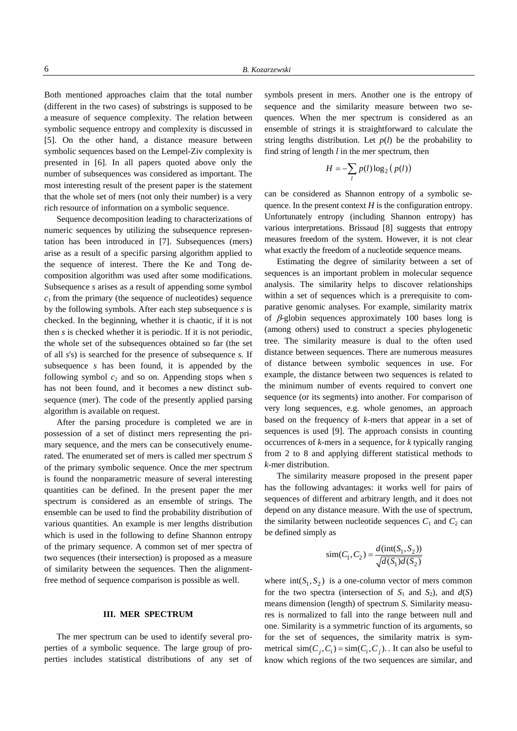Both mentioned approaches claim that the total number (different in the two cases) of substrings is supposed to be a measure of sequence complexity. The relation between symbolic sequence entropy and complexity is discussed in [5]. On the other hand, a distance measure between symbolic sequences based on the Lempel-Ziv complexity is presented in [6]. In all papers quoted above only the number of subsequences was considered as important. The most interesting result of the present paper is the statement that the whole set of mers (not only their number) is a very rich resource of information on a symbolic sequence.

Sequence decomposition leading to characterizations of numeric sequences by utilizing the subsequence representation has been introduced in [7]. Subsequences (mers) arise as a result of a specific parsing algorithm applied to the sequence of interest. There the Ke and Tong decomposition algorithm was used after some modifications. Subsequence *s* arises as a result of appending some symbol  $c_1$  from the primary (the sequence of nucleotides) sequence by the following symbols. After each step subsequence *s* is checked. In the beginning, whether it is chaotic, if it is not then *s* is checked whether it is periodic. If it is not periodic, the whole set of the subsequences obtained so far (the set of all *s*'s) is searched for the presence of subsequence *s.* If subsequence *s* has been found, it is appended by the following symbol  $c_2$  and so on. Appending stops when  $s$ has not been found, and it becomes a new distinct subsequence (mer). The code of the presently applied parsing algorithm is available on request.

After the parsing procedure is completed we are in possession of a set of distinct mers representing the primary sequence, and the mers can be consecutively enumerated. The enumerated set of mers is called mer spectrum *S*  of the primary symbolic sequence. Once the mer spectrum is found the nonparametric measure of several interesting quantities can be defined. In the present paper the mer spectrum is considered as an ensemble of strings. The ensemble can be used to find the probability distribution of various quantities. An example is mer lengths distribution which is used in the following to define Shannon entropy of the primary sequence. A common set of mer spectra of two sequences (their intersection) is proposed as a measure of similarity between the sequences. Then the alignmentfree method of sequence comparison is possible as well.

## **III. MER SPECTRUM**

The mer spectrum can be used to identify several properties of a symbolic sequence. The large group of properties includes statistical distributions of any set of

symbols present in mers. Another one is the entropy of sequence and the similarity measure between two sequences. When the mer spectrum is considered as an ensemble of strings it is straightforward to calculate the string lengths distribution. Let  $p(l)$  be the probability to find string of length *l* in the mer spectrum, then

$$
H = -\sum_{l} p(l) \log_2 (p(l))
$$

can be considered as Shannon entropy of a symbolic sequence. In the present context  $H$  is the configuration entropy. Unfortunately entropy (including Shannon entropy) has various interpretations. Brissaud [8] suggests that entropy measures freedom of the system. However, it is not clear what exactly the freedom of a nucleotide sequence means.

Estimating the degree of similarity between a set of sequences is an important problem in molecular sequence analysis. The similarity helps to discover relationships within a set of sequences which is a prerequisite to comparative genomic analyses. For example, similarity matrix of  $\beta$ -globin sequences approximately 100 bases long is (among others) used to construct a species phylogenetic tree. The similarity measure is dual to the often used distance between sequences. There are numerous measures of distance between symbolic sequences in use. For example, the distance between two sequences is related to the minimum number of events required to convert one sequence (or its segments) into another. For comparison of very long sequences, e.g. whole genomes, an approach based on the frequency of *k*-mers that appear in a set of sequences is used [9]. The approach consists in counting occurrences of *k*-mers in a sequence, for *k* typically ranging from 2 to 8 and applying different statistical methods to *k*-mer distribution.

The similarity measure proposed in the present paper has the following advantages: it works well for pairs of sequences of different and arbitrary length, and it does not depend on any distance measure. With the use of spectrum, the similarity between nucleotide sequences  $C_1$  and  $C_2$  can be defined simply as

$$
sim(C_1, C_2) = \frac{d(int(S_1, S_2))}{\sqrt{d(S_1)d(S_2)}}
$$

where  $int(S_1, S_2)$  is a one-column vector of mers common for the two spectra (intersection of  $S_1$  and  $S_2$ ), and  $d(S)$ means dimension (length) of spectrum *S*. Similarity measures is normalized to fall into the range between null and one. Similarity is a symmetric function of its arguments, so for the set of sequences, the similarity matrix is symmetrical  $\text{sim}(C_i, C_i) = \text{sim}(C_i, C_i)$ . It can also be useful to know which regions of the two sequences are similar, and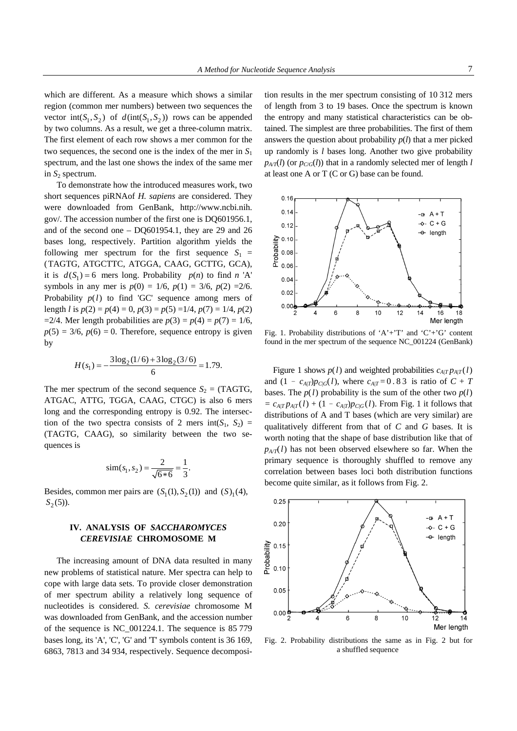which are different. As a measure which shows a similar region (common mer numbers) between two sequences the vector  $int(S_1, S_2)$  of  $d(int(S_1, S_2))$  rows can be appended by two columns. As a result, we get a three-column matrix. The first element of each row shows a mer common for the two sequences, the second one is the index of the mer in *S*<sup>1</sup> spectrum, and the last one shows the index of the same mer in  $S_2$  spectrum.

To demonstrate how the introduced measures work, two short sequences piRNAof *H. sapiens* are considered. They were downloaded from GenBank, http://www.ncbi.nih. gov/. The accession number of the first one is DQ601956.1, and of the second one – DQ601954.1, they are 29 and 26 bases long, respectively. Partition algorithm yields the following mer spectrum for the first sequence  $S_1$  = (TAGTG, ATGCTTC, ATGGA, CAAG, GCTTG, GCA), it is  $d(S_1) = 6$  mers long. Probability  $p(n)$  to find *n* 'A' symbols in any mer is  $p(0) = 1/6$ ,  $p(1) = 3/6$ ,  $p(2) = 2/6$ . Probability  $p(l)$  to find 'GC' sequence among mers of length *l* is  $p(2) = p(4) = 0$ ,  $p(3) = p(5) = 1/4$ ,  $p(7) = 1/4$ ,  $p(2)$  $=2/4$ . Mer length probabilities are  $p(3) = p(4) = p(7) = 1/6$ ,  $p(5) = 3/6$ ,  $p(6) = 0$ . Therefore, sequence entropy is given by

$$
H(s_1) = -\frac{3\log_2(1/6) + 3\log_2(3/6)}{6} = 1.79.
$$

The mer spectrum of the second sequence  $S_2$  = (TAGTG, ATGAC, ATTG, TGGA, CAAG, CTGC) is also 6 mers long and the corresponding entropy is 0.92. The intersection of the two spectra consists of 2 mers int( $S_1$ ,  $S_2$ ) = (TAGTG, CAAG), so similarity between the two sequences is

$$
\text{sim}(s_1, s_2) = \frac{2}{\sqrt{6*6}} = \frac{1}{3}.
$$

Besides, common mer pairs are  $(S_1(1), S_2(1))$  and  $(S_1(4),$  $S_2(5)$ ).

# **IV. ANALYSIS OF** *SACCHAROMYCES CEREVISIAE* **CHROMOSOME M**

The increasing amount of DNA data resulted in many new problems of statistical nature. Mer spectra can help to cope with large data sets. To provide closer demonstration of mer spectrum ability a relatively long sequence of nucleotides is considered. *S. cerevisiae* chromosome M was downloaded from GenBank, and the accession number of the sequence is NC\_001224.1. The sequence is 85 779 bases long, its 'A', 'C', 'G' and 'T' symbols content is 36 169, 6863, 7813 and 34 934, respectively. Sequence decomposi-

tion results in the mer spectrum consisting of 10 312 mers of length from 3 to 19 bases. Once the spectrum is known the entropy and many statistical characteristics can be obtained. The simplest are three probabilities. The first of them answers the question about probability  $p(l)$  that a mer picked up randomly is *l* bases long. Another two give probability  $p_{A/T}(l)$  (or  $p_{C/G}(l)$ ) that in a randomly selected mer of length *l* at least one A or T (C or G) base can be found.



Fig. 1. Probability distributions of 'A'+'T' and 'C'+'G' content found in the mer spectrum of the sequence NC\_001224 (GenBank)

Figure 1 shows  $p(l)$  and weighted probabilities  $c_{A|T} p_{A|T}(l)$ and  $(1 - c_{A|T})p_{C|G}(l)$ , where  $c_{A|T} = 0.83$  is ratio of  $C + T$ bases. The  $p(l)$  probability is the sum of the other two  $p(l)$  $= c_{A|T} p_{A|T}(l) + (1 - c_{A|T}) p_{C|G}(l)$ . From Fig. 1 it follows that distributions of A and T bases (which are very similar) are qualitatively different from that of *C* and *G* bases. It is worth noting that the shape of base distribution like that of  $p_{A/T}(l)$  has not been observed elsewhere so far. When the primary sequence is thoroughly shuffled to remove any correlation between bases loci both distribution functions become quite similar, as it follows from Fig. 2.



Fig. 2. Probability distributions the same as in Fig. 2 but for a shuffled sequence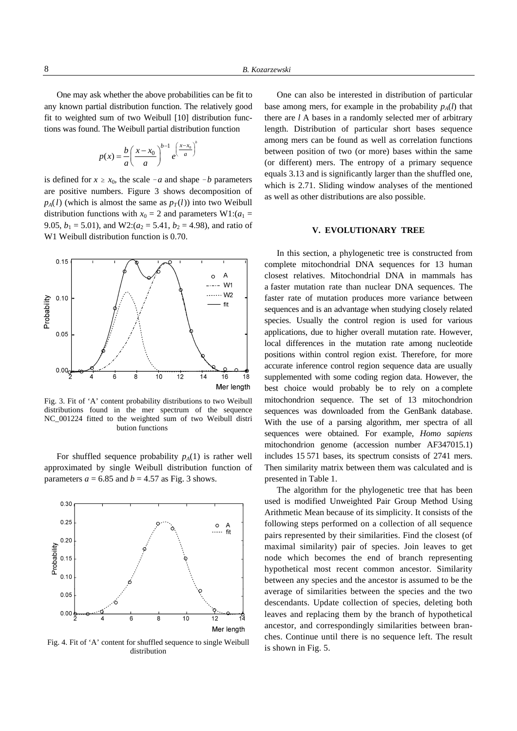One may ask whether the above probabilities can be fit to any known partial distribution function. The relatively good fit to weighted sum of two Weibull [10] distribution functions was found. The Weibull partial distribution function

$$
p(x) = \frac{b}{a} \left(\frac{x - x_0}{a}\right)^{b-1} e^{\left(\frac{x - x_0}{a}\right)}
$$

*b*

is defined for  $x \ge x_0$ , the scale  $-a$  and shape  $-b$  parameters are positive numbers. Figure 3 shows decomposition of  $p_A(l)$  (which is almost the same as  $p_T(l)$ ) into two Weibull distribution functions with  $x_0 = 2$  and parameters W1: $(a_1 =$ 9.05,  $b_1 = 5.01$ ), and W2:( $a_2 = 5.41$ ,  $b_2 = 4.98$ ), and ratio of W1 Weibull distribution function is 0.70.



Fig. 3. Fit of 'A' content probability distributions to two Weibull distributions found in the mer spectrum of the sequence NC\_001224 fitted to the weighted sum of two Weibull distri bution functions

For shuffled sequence probability  $p_A(1)$  is rather well approximated by single Weibull distribution function of parameters  $a = 6.85$  and  $b = 4.57$  as Fig. 3 shows.



Fig. 4. Fit of 'A' content for shuffled sequence to single Weibull distribution

One can also be interested in distribution of particular base among mers, for example in the probability  $p_A(l)$  that there are *l* A bases in a randomly selected mer of arbitrary length. Distribution of particular short bases sequence among mers can be found as well as correlation functions between position of two (or more) bases within the same (or different) mers. The entropy of a primary sequence equals 3.13 and is significantly larger than the shuffled one, which is 2.71. Sliding window analyses of the mentioned as well as other distributions are also possible.

#### **V. EVOLUTIONARY TREE**

In this section, a phylogenetic tree is constructed from complete mitochondrial DNA sequences for 13 human closest relatives. Mitochondrial DNA in mammals has a faster mutation rate than nuclear DNA sequences. The faster rate of mutation produces more variance between sequences and is an advantage when studying closely related species. Usually the control region is used for various applications, due to higher overall mutation rate. However, local differences in the mutation rate among nucleotide positions within control region exist. Therefore, for more accurate inference control region sequence data are usually supplemented with some coding region data. However, the best choice would probably be to rely on a complete mitochondrion sequence. The set of 13 mitochondrion sequences was downloaded from the GenBank database. With the use of a parsing algorithm, mer spectra of all sequences were obtained. For example, *Homo sapiens* mitochondrion genome (accession number AF347015.1) includes 15 571 bases, its spectrum consists of 2741 mers. Then similarity matrix between them was calculated and is presented in Table 1.

The algorithm for the phylogenetic tree that has been used is modified Unweighted Pair Group Method Using Arithmetic Mean because of its simplicity. It consists of the following steps performed on a collection of all sequence pairs represented by their similarities. Find the closest (of maximal similarity) pair of species. Join leaves to get node which becomes the end of branch representing hypothetical most recent common ancestor. Similarity between any species and the ancestor is assumed to be the average of similarities between the species and the two descendants. Update collection of species, deleting both leaves and replacing them by the branch of hypothetical ancestor, and correspondingly similarities between branches. Continue until there is no sequence left. The result is shown in Fig. 5.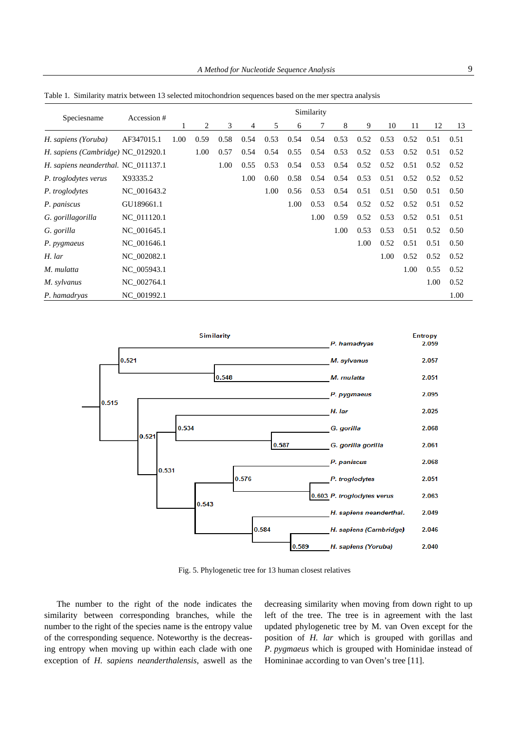| Speciesname                         | Accession # | Similarity |      |      |      |      |      |      |      |      |      |      |      |      |
|-------------------------------------|-------------|------------|------|------|------|------|------|------|------|------|------|------|------|------|
|                                     |             |            | 2    | 3    | 4    | 5    | 6    | 7    | 8    | 9    | 10   | 11   | 12   | 13   |
| H. sapiens (Yoruba)                 | AF347015.1  | 1.00       | 0.59 | 0.58 | 0.54 | 0.53 | 0.54 | 0.54 | 0.53 | 0.52 | 0.53 | 0.52 | 0.51 | 0.51 |
| H. sapiens (Cambridge) NC_012920.1  |             |            | 1.00 | 0.57 | 0.54 | 0.54 | 0.55 | 0.54 | 0.53 | 0.52 | 0.53 | 0.52 | 0.51 | 0.52 |
| H. sapiens neanderthal. NC_011137.1 |             |            |      | 1.00 | 0.55 | 0.53 | 0.54 | 0.53 | 0.54 | 0.52 | 0.52 | 0.51 | 0.52 | 0.52 |
| P. troglodytes verus                | X93335.2    |            |      |      | 1.00 | 0.60 | 0.58 | 0.54 | 0.54 | 0.53 | 0.51 | 0.52 | 0.52 | 0.52 |
| P. troglodytes                      | NC 001643.2 |            |      |      |      | 1.00 | 0.56 | 0.53 | 0.54 | 0.51 | 0.51 | 0.50 | 0.51 | 0.50 |
| P. paniscus                         | GU189661.1  |            |      |      |      |      | 1.00 | 0.53 | 0.54 | 0.52 | 0.52 | 0.52 | 0.51 | 0.52 |
| G. gorillagorilla                   | NC_011120.1 |            |      |      |      |      |      | 1.00 | 0.59 | 0.52 | 0.53 | 0.52 | 0.51 | 0.51 |
| G. gorilla                          | NC_001645.1 |            |      |      |      |      |      |      | 1.00 | 0.53 | 0.53 | 0.51 | 0.52 | 0.50 |
| P. pygmaeus                         | NC 001646.1 |            |      |      |      |      |      |      |      | 1.00 | 0.52 | 0.51 | 0.51 | 0.50 |
| H. lar                              | NC 002082.1 |            |      |      |      |      |      |      |      |      | 1.00 | 0.52 | 0.52 | 0.52 |
| M. mulatta                          | NC_005943.1 |            |      |      |      |      |      |      |      |      |      | 1.00 | 0.55 | 0.52 |
| M. sylvanus                         | NC 002764.1 |            |      |      |      |      |      |      |      |      |      |      | 1.00 | 0.52 |
| P. hamadryas                        | NC 001992.1 |            |      |      |      |      |      |      |      |      |      |      |      | 1.00 |

Table 1. Similarity matrix between 13 selected mitochondrion sequences based on the mer spectra analysis



Fig. 5. Phylogenetic tree for 13 human closest relatives

The number to the right of the node indicates the similarity between corresponding branches, while the number to the right of the species name is the entropy value of the corresponding sequence. Noteworthy is the decreasing entropy when moving up within each clade with one exception of *H. sapiens neanderthalensis*, aswell as the decreasing similarity when moving from down right to up left of the tree. The tree is in agreement with the last updated phylogenetic tree by M. van Oven except for the position of *H. lar* which is grouped with gorillas and *P. pygmaeus* which is grouped with Hominidae instead of Homininae according to van Oven's tree [11].